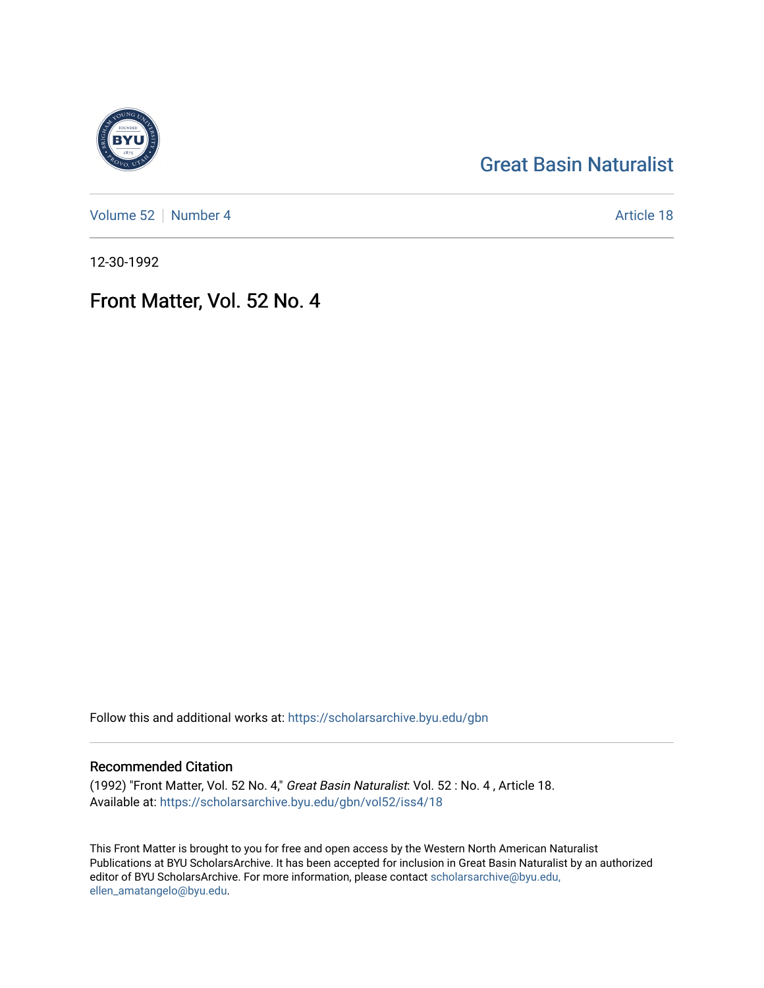# [Great Basin Naturalist](https://scholarsarchive.byu.edu/gbn)

[Volume 52](https://scholarsarchive.byu.edu/gbn/vol52) [Number 4](https://scholarsarchive.byu.edu/gbn/vol52/iss4) Article 18

12-30-1992

## Front Matter, Vol. 52 No. 4

Follow this and additional works at: [https://scholarsarchive.byu.edu/gbn](https://scholarsarchive.byu.edu/gbn?utm_source=scholarsarchive.byu.edu%2Fgbn%2Fvol52%2Fiss4%2F18&utm_medium=PDF&utm_campaign=PDFCoverPages) 

## Recommended Citation

(1992) "Front Matter, Vol. 52 No. 4," Great Basin Naturalist: Vol. 52 : No. 4 , Article 18. Available at: [https://scholarsarchive.byu.edu/gbn/vol52/iss4/18](https://scholarsarchive.byu.edu/gbn/vol52/iss4/18?utm_source=scholarsarchive.byu.edu%2Fgbn%2Fvol52%2Fiss4%2F18&utm_medium=PDF&utm_campaign=PDFCoverPages) 

This Front Matter is brought to you for free and open access by the Western North American Naturalist Publications at BYU ScholarsArchive. It has been accepted for inclusion in Great Basin Naturalist by an authorized editor of BYU ScholarsArchive. For more information, please contact [scholarsarchive@byu.edu,](mailto:scholarsarchive@byu.edu,%20ellen_amatangelo@byu.edu) [ellen\\_amatangelo@byu.edu](mailto:scholarsarchive@byu.edu,%20ellen_amatangelo@byu.edu).

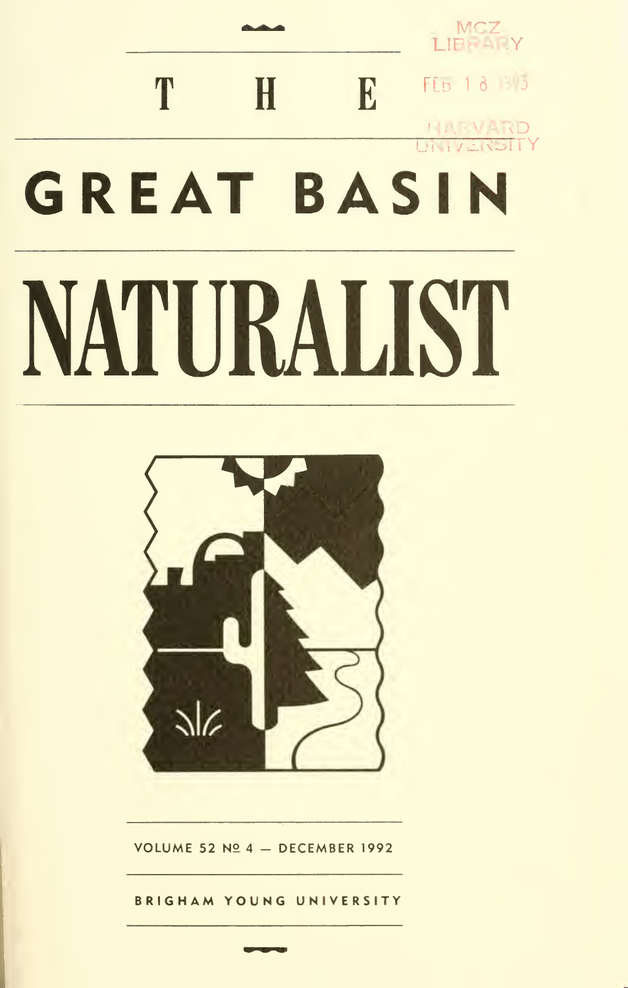



VOLUME 52 Nº 4  $-$  DECEMBER 1992

BRIGHAM YOUNG UNIVERSITY